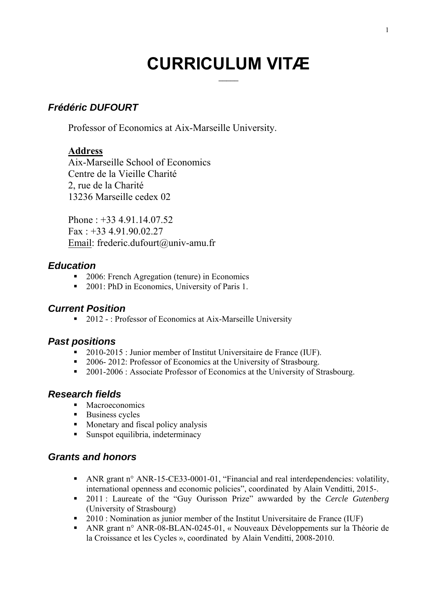# **CURRICULUM VITÆ**

## *Frédéric DUFOURT*

Professor of Economics at Aix-Marseille University.

#### **Address**

Aix-Marseille School of Economics Centre de la Vieille Charité 2, rue de la Charité 13236 Marseille cedex 02

Phone : +33 4.91.14.07.52 Fax : +33 4.91.90.02.27 Email: frederic.dufourt@univ-amu.fr

#### *Education*

- 2006: French Agregation (tenure) in Economics
- 2001: PhD in Economics, University of Paris 1.

### *Current Position*

■ 2012 - : Professor of Economics at Aix-Marseille University

## *Past positions*

- 2010-2015 : Junior member of Institut Universitaire de France (IUF).
- 2006- 2012: Professor of Economics at the University of Strasbourg.
- <sup>2001-2006</sup> : Associate Professor of Economics at the University of Strasbourg.

## *Research fields*

- **Macroeconomics**
- Business cycles
- **Monetary and fiscal policy analysis**
- Sunspot equilibria, indeterminacy

### *Grants and honors*

- ANR grant n° ANR-15-CE33-0001-01, "Financial and real interdependencies: volatility, international openness and economic policies", coordinated by Alain Venditti, 2015-.
- 2011 : Laureate of the "Guy Ourisson Prize" awwarded by the *Cercle Gutenberg*  (University of Strasbourg)
- <sup>2010</sup> : Nomination as junior member of the Institut Universitaire de France (IUF)
- ANR grant n° ANR-08-BLAN-0245-01, « Nouveaux Développements sur la Théorie de la Croissance et les Cycles », coordinated by Alain Venditti, 2008-2010.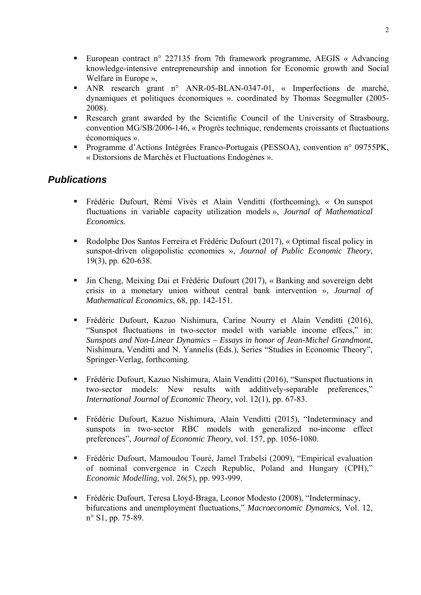- European contract n° 227135 from 7th framework programme, AEGIS « Advancing knowledge-intensive entrepreneurship and innotion for Economic growth and Social Welfare in Europe »,
- ANR research grant n° ANR-05-BLAN-0347-01, « Imperfections de marché, dynamiques et politiques économiques ». coordinated by Thomas Seegmuller (2005- 2008).
- Research grant awarded by the Scientific Council of the University of Strasbourg, convention MG/SB/2006-146, « Progrès technique, rendements croissants et fluctuations économiques ».
- **Programme d'Actions Intégrées Franco-Portugais (PESSOA), convention n° 09755PK,** « Distorsions de Marchés et Fluctuations Endogènes ».

### *Publications*

- Frédéric Dufourt, Rémi Vivès et Alain Venditti (forthcoming), « On sunspot fluctuations in variable capacity utilization models », *Journal of Mathematical Economics.*
- Rodolphe Dos Santos Ferreira et Frédéric Dufourt (2017), « Optimal fiscal policy in sunspot-driven oligopolistic economies », *Journal of Public Economic Theory*, 19(3), pp. 620-638.
- Jin Cheng, Meixing Dai et Frédéric Dufourt (2017), « Banking and sovereign debt crisis in a monetary union without central bank intervention », *Journal of Mathematical Economics*, 68, pp. 142-151.
- Frédéric Dufourt, Kazuo Nishimura, Carine Nourry et Alain Venditti (2016), "Sunspot fluctuations in two-sector model with variable income effecs," in: *Sunspots and Non-Linear Dynamics – Essays in honor of Jean-Michel Grandmont*, Nishimura, Venditti and N. Yannelis (Eds.), Series "Studies in Economic Theory", Springer-Verlag, forthcoming.
- Frédéric Dufourt, Kazuo Nishimura, Alain Venditti (2016), "Sunspot fluctuations in two-sector models: New results with additively-separable preferences," *International Journal of Economic Theory,* vol. 12(1), pp. 67-83.
- Frédéric Dufourt, Kazuo Nishimura, Alain Venditti (2015), "Indeterminacy and sunspots in two-sector RBC models with generalized no-income effect preferences", *Journal of Economic Theory*, vol. 157, pp. 1056-1080.
- Frédéric Dufourt, Mamoudou Touré, Jamel Trabelsi (2009), "Empirical evaluation of nominal convergence in Czech Republic, Poland and Hungary (CPH)," *Economic Modelling,* vol. 26(5), pp. 993-999.
- Frédéric Dufourt, Teresa Lloyd-Braga, Leonor Modesto (2008), "Indeterminacy, bifurcations and unemployment fluctuations," *Macroeconomic Dynamics,* Vol. 12, n° S1, pp. 75-89.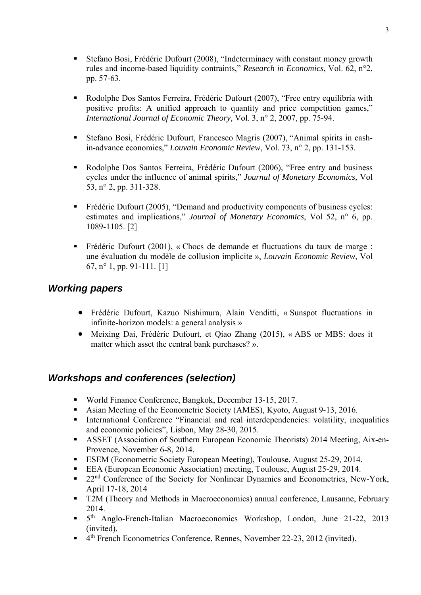- Stefano Bosi, Frédéric Dufourt (2008), "Indeterminacy with constant money growth rules and income-based liquidity contraints," *Research in Economics*, Vol. 62, n°2, pp. 57-63.
- Rodolphe Dos Santos Ferreira, Frédéric Dufourt (2007), "Free entry equilibria with positive profits: A unified approach to quantity and price competition games," *International Journal of Economic Theory,* Vol. 3, n° 2, 2007, pp. 75-94.
- Stefano Bosi, Frédéric Dufourt, Francesco Magris (2007), "Animal spirits in cashin-advance economies," *Louvain Economic Review*, Vol. 73, n° 2, pp. 131-153.
- Rodolphe Dos Santos Ferreira, Frédéric Dufourt (2006), "Free entry and business cycles under the influence of animal spirits," *Journal of Monetary Economics,* Vol 53, n° 2, pp. 311-328.
- Frédéric Dufourt (2005), "Demand and productivity components of business cycles: estimates and implications," *Journal of Monetary Economics*, Vol 52, n° 6, pp. 1089-1105. [2]
- Frédéric Dufourt (2001), « Chocs de demande et fluctuations du taux de marge : une évaluation du modèle de collusion implicite », *Louvain Economic Review*, Vol 67, n° 1, pp. 91-111. [1]

### *Working papers*

- Frédéric Dufourt, Kazuo Nishimura, Alain Venditti, « Sunspot fluctuations in infinite-horizon models: a general analysis »
- Meixing Dai, Frédéric Dufourt, et Qiao Zhang (2015), « ABS or MBS: does it matter which asset the central bank purchases? ».

## *Workshops and conferences (selection)*

- World Finance Conference, Bangkok, December 13-15, 2017.
- Asian Meeting of the Econometric Society (AMES), Kyoto, August 9-13, 2016.
- International Conference "Financial and real interdependencies: volatility, inequalities and economic policies", Lisbon, May 28-30, 2015.
- ASSET (Association of Southern European Economic Theorists) 2014 Meeting, Aix-en-Provence, November 6-8, 2014.
- **ESEM (Econometric Society European Meeting), Toulouse, August 25-29, 2014.**
- EEA (European Economic Association) meeting, Toulouse, August 25-29, 2014.
- <sup>22nd</sup> Conference of the Society for Nonlinear Dynamics and Econometrics, New-York, April 17-18, 2014
- T2M (Theory and Methods in Macroeconomics) annual conference, Lausanne, February 2014.
- 5<sup>th</sup> Anglo-French-Italian Macroeconomics Workshop, London, June 21-22, 2013 (invited).
- $\overline{4}$ <sup>th</sup> French Econometrics Conference, Rennes, November 22-23, 2012 (invited).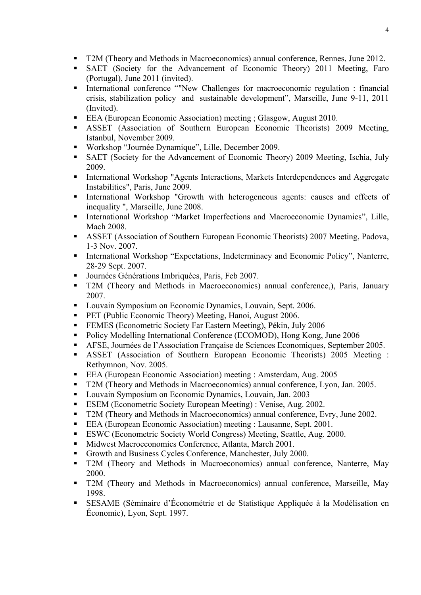- T2M (Theory and Methods in Macroeconomics) annual conference, Rennes, June 2012.
- SAET (Society for the Advancement of Economic Theory) 2011 Meeting, Faro (Portugal), June 2011 (invited).
- International conference ""New Challenges for macroeconomic regulation : financial crisis, stabilization policy and sustainable development", Marseille, June 9-11, 2011 (Invited).
- EEA (European Economic Association) meeting ; Glasgow, August 2010.
- ASSET (Association of Southern European Economic Theorists) 2009 Meeting, Istanbul, November 2009.
- Workshop "Journée Dynamique", Lille, December 2009.
- SAET (Society for the Advancement of Economic Theory) 2009 Meeting, Ischia, July 2009.
- International Workshop "Agents Interactions, Markets Interdependences and Aggregate Instabilities", Paris, June 2009.
- International Workshop "Growth with heterogeneous agents: causes and effects of inequality ", Marseille, June 2008.
- **International Workshop "Market Imperfections and Macroeconomic Dynamics", Lille,** Mach 2008.
- ASSET (Association of Southern European Economic Theorists) 2007 Meeting, Padova, 1-3 Nov. 2007.
- **International Workshop "Expectations, Indeterminacy and Economic Policy", Nanterre,** 28-29 Sept. 2007.
- **Journées Générations Imbriquées, Paris, Feb 2007.**
- T2M (Theory and Methods in Macroeconomics) annual conference,), Paris, January 2007.
- **Louvain Symposium on Economic Dynamics, Louvain, Sept. 2006.**
- **PET** (Public Economic Theory) Meeting, Hanoi, August 2006.
- FEMES (Econometric Society Far Eastern Meeting), Pékin, July 2006
- Policy Modelling International Conference (ECOMOD), Hong Kong, June 2006
- AFSE, Journées de l'Association Française de Sciences Economiques, September 2005.
- ASSET (Association of Southern European Economic Theorists) 2005 Meeting : Rethymnon, Nov. 2005.
- EEA (European Economic Association) meeting : Amsterdam, Aug. 2005
- T2M (Theory and Methods in Macroeconomics) annual conference, Lyon, Jan. 2005.
- **Louvain Symposium on Economic Dynamics, Louvain, Jan. 2003**
- ESEM (Econometric Society European Meeting) : Venise, Aug. 2002.
- T2M (Theory and Methods in Macroeconomics) annual conference, Evry, June 2002.
- EEA (European Economic Association) meeting : Lausanne, Sept. 2001.
- ESWC (Econometric Society World Congress) Meeting, Seattle, Aug. 2000.
- Midwest Macroeconomics Conference, Atlanta, March 2001.
- Growth and Business Cycles Conference, Manchester, July 2000.
- T2M (Theory and Methods in Macroeconomics) annual conference, Nanterre, May 2000.
- T2M (Theory and Methods in Macroeconomics) annual conference, Marseille, May 1998.
- SESAME (Séminaire d'Économétrie et de Statistique Appliquée à la Modélisation en Économie), Lyon, Sept. 1997.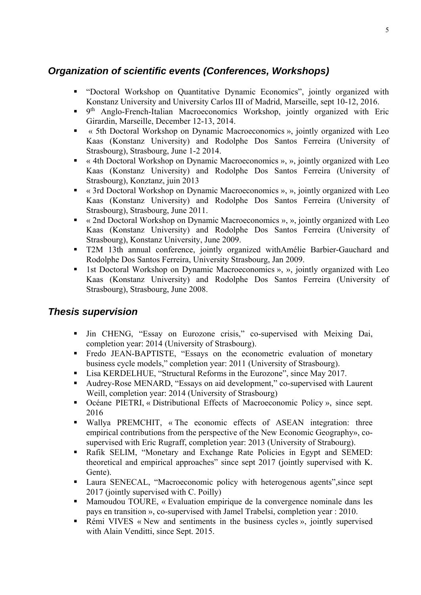# *Organization of scientific events (Conferences, Workshops)*

- "Doctoral Workshop on Quantitative Dynamic Economics", jointly organized with Konstanz University and University Carlos III of Madrid, Marseille, sept 10-12, 2016.
- <sup>9th</sup> Anglo-French-Italian Macroeconomics Workshop, jointly organized with Eric Girardin, Marseille, December 12-13, 2014.
- « 5th Doctoral Workshop on Dynamic Macroeconomics », jointly organized with Leo Kaas (Konstanz University) and Rodolphe Dos Santos Ferreira (University of Strasbourg), Strasbourg, June 1-2 2014.
- « 4th Doctoral Workshop on Dynamic Macroeconomics », », jointly organized with Leo Kaas (Konstanz University) and Rodolphe Dos Santos Ferreira (University of Strasbourg), Konztanz, juin 2013
- « 3rd Doctoral Workshop on Dynamic Macroeconomics », », jointly organized with Leo Kaas (Konstanz University) and Rodolphe Dos Santos Ferreira (University of Strasbourg), Strasbourg, June 2011.
- « 2nd Doctoral Workshop on Dynamic Macroeconomics », », jointly organized with Leo Kaas (Konstanz University) and Rodolphe Dos Santos Ferreira (University of Strasbourg), Konstanz University, June 2009.
- T2M 13th annual conference, jointly organized withAmélie Barbier-Gauchard and Rodolphe Dos Santos Ferreira, University Strasbourg, Jan 2009.
- **1st Doctoral Workshop on Dynamic Macroeconomics », », jointly organized with Leo** Kaas (Konstanz University) and Rodolphe Dos Santos Ferreira (University of Strasbourg), Strasbourg, June 2008.

## *Thesis supervision*

- Jin CHENG, "Essay on Eurozone crisis," co-supervised with Meixing Dai, completion year: 2014 (University of Strasbourg).
- Fredo JEAN-BAPTISTE, "Essays on the econometric evaluation of monetary business cycle models," completion year: 2011 (University of Strasbourg).
- Lisa KERDELHUE, "Structural Reforms in the Eurozone", since May 2017.
- Audrey-Rose MENARD, "Essays on aid development," co-supervised with Laurent Weill, completion year: 2014 (University of Strasbourg)
- Océane PIETRI, « Distributional Effects of Macroeconomic Policy », since sept. 2016
- Wallya PREMCHIT, « The economic effects of ASEAN integration: three empirical contributions from the perspective of the New Economic Geography», cosupervised with Eric Rugraff, completion year: 2013 (University of Strabourg).
- Rafik SELIM, "Monetary and Exchange Rate Policies in Egypt and SEMED: theoretical and empirical approaches" since sept 2017 (jointly supervised with K. Gente).
- Laura SENECAL, "Macroeconomic policy with heterogenous agents",since sept 2017 (jointly supervised with C. Poilly)
- Mamoudou TOURE, « Evaluation empirique de la convergence nominale dans les pays en transition », co-supervised with Jamel Trabelsi, completion year : 2010.
- Rémi VIVES « New and sentiments in the business cycles », jointly supervised with Alain Venditti, since Sept. 2015.